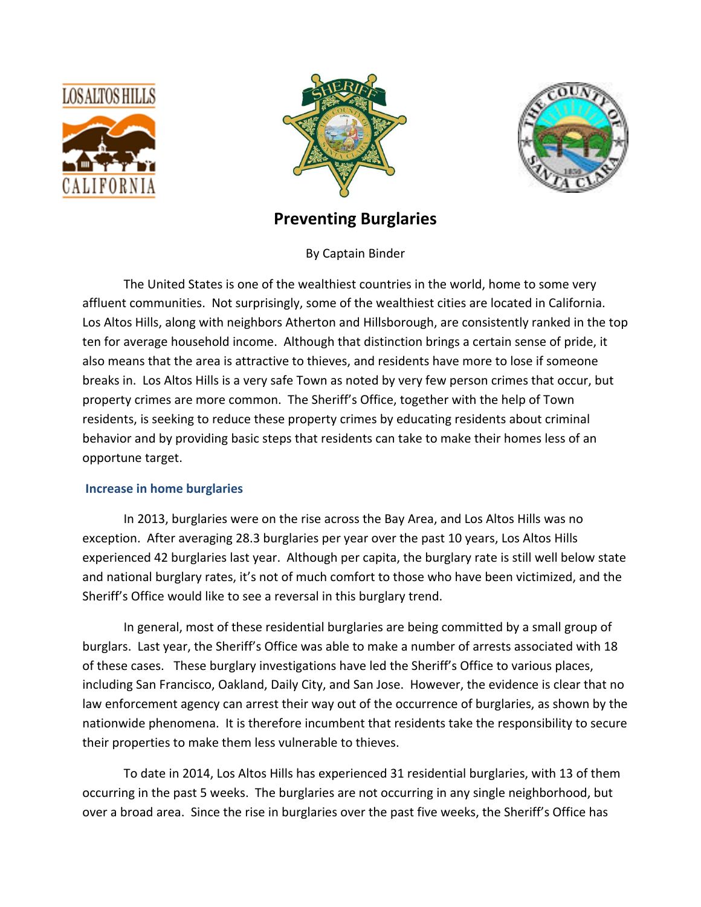





# **Preventing Burglaries**

By Captain Binder

The United States is one of the wealthiest countries in the world, home to some very affluent communities. Not surprisingly, some of the wealthiest cities are located in California. Los Altos Hills, along with neighbors Atherton and Hillsborough, are consistently ranked in the top ten for average household income. Although that distinction brings a certain sense of pride, it also means that the area is attractive to thieves, and residents have more to lose if someone breaks in. Los Altos Hills is a very safe Town as noted by very few person crimes that occur, but property crimes are more common. The Sheriff's Office, together with the help of Town residents, is seeking to reduce these property crimes by educating residents about criminal behavior and by providing basic steps that residents can take to make their homes less of an opportune target.

# **Increase in home burglaries**

In 2013, burglaries were on the rise across the Bay Area, and Los Altos Hills was no exception. After averaging 28.3 burglaries per year over the past 10 years, Los Altos Hills experienced 42 burglaries last year. Although per capita, the burglary rate is still well below state and national burglary rates, it's not of much comfort to those who have been victimized, and the Sheriff's Office would like to see a reversal in this burglary trend.

In general, most of these residential burglaries are being committed by a small group of burglars. Last year, the Sheriff's Office was able to make a number of arrests associated with 18 of these cases. These burglary investigations have led the Sheriff's Office to various places, including San Francisco, Oakland, Daily City, and San Jose. However, the evidence is clear that no law enforcement agency can arrest their way out of the occurrence of burglaries, as shown by the nationwide phenomena. It is therefore incumbent that residents take the responsibility to secure their properties to make them less vulnerable to thieves.

To date in 2014, Los Altos Hills has experienced 31 residential burglaries, with 13 of them occurring in the past 5 weeks. The burglaries are not occurring in any single neighborhood, but over a broad area. Since the rise in burglaries over the past five weeks, the Sheriff's Office has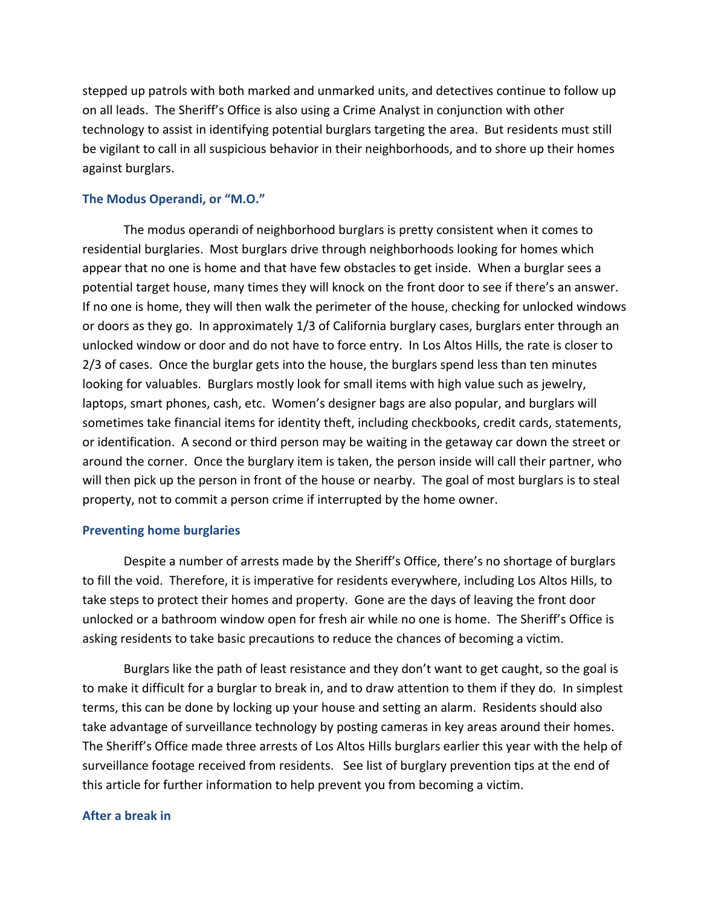stepped up patrols with both marked and unmarked units, and detectives continue to follow up on all leads. The Sheriff's Office is also using a Crime Analyst in conjunction with other technology to assist in identifying potential burglars targeting the area. But residents must still be vigilant to call in all suspicious behavior in their neighborhoods, and to shore up their homes against burglars.

### **The Modus Operandi, or "M.O."**

The modus operandi of neighborhood burglars is pretty consistent when it comes to residential burglaries. Most burglars drive through neighborhoods looking for homes which appear that no one is home and that have few obstacles to get inside. When a burglar sees a potential target house, many times they will knock on the front door to see if there's an answer. If no one is home, they will then walk the perimeter of the house, checking for unlocked windows or doors as they go. In approximately 1/3 of California burglary cases, burglars enter through an unlocked window or door and do not have to force entry. In Los Altos Hills, the rate is closer to 2/3 of cases. Once the burglar gets into the house, the burglars spend less than ten minutes looking for valuables. Burglars mostly look for small items with high value such as jewelry, laptops, smart phones, cash, etc. Women's designer bags are also popular, and burglars will sometimes take financial items for identity theft, including checkbooks, credit cards, statements, or identification. A second or third person may be waiting in the getaway car down the street or around the corner. Once the burglary item is taken, the person inside will call their partner, who will then pick up the person in front of the house or nearby. The goal of most burglars is to steal property, not to commit a person crime if interrupted by the home owner.

#### **Preventing home burglaries**

Despite a number of arrests made by the Sheriff's Office, there's no shortage of burglars to fill the void. Therefore, it is imperative for residents everywhere, including Los Altos Hills, to take steps to protect their homes and property. Gone are the days of leaving the front door unlocked or a bathroom window open for fresh air while no one is home. The Sheriff's Office is asking residents to take basic precautions to reduce the chances of becoming a victim.

Burglars like the path of least resistance and they don't want to get caught, so the goal is to make it difficult for a burglar to break in, and to draw attention to them if they do. In simplest terms, this can be done by locking up your house and setting an alarm. Residents should also take advantage of surveillance technology by posting cameras in key areas around their homes. The Sheriff's Office made three arrests of Los Altos Hills burglars earlier this year with the help of surveillance footage received from residents. See list of burglary prevention tips at the end of this article for further information to help prevent you from becoming a victim.

#### **After a break in**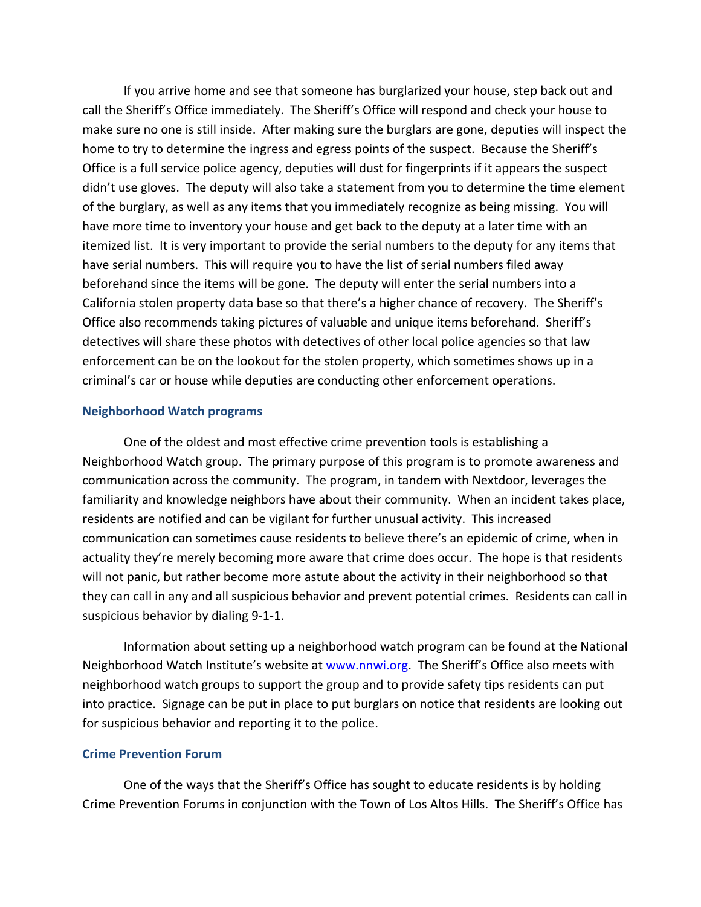If you arrive home and see that someone has burglarized your house, step back out and call the Sheriff's Office immediately. The Sheriff's Office will respond and check your house to make sure no one is still inside. After making sure the burglars are gone, deputies will inspect the home to try to determine the ingress and egress points of the suspect. Because the Sheriff's Office is a full service police agency, deputies will dust for fingerprints if it appears the suspect didn't use gloves. The deputy will also take a statement from you to determine the time element of the burglary, as well as any items that you immediately recognize as being missing. You will have more time to inventory your house and get back to the deputy at a later time with an itemized list. It is very important to provide the serial numbers to the deputy for any items that have serial numbers. This will require you to have the list of serial numbers filed away beforehand since the items will be gone. The deputy will enter the serial numbers into a California stolen property data base so that there's a higher chance of recovery. The Sheriff's Office also recommends taking pictures of valuable and unique items beforehand. Sheriff's detectives will share these photos with detectives of other local police agencies so that law enforcement can be on the lookout for the stolen property, which sometimes shows up in a criminal's car or house while deputies are conducting other enforcement operations.

### **Neighborhood Watch programs**

One of the oldest and most effective crime prevention tools is establishing a Neighborhood Watch group. The primary purpose of this program is to promote awareness and communication across the community. The program, in tandem with Nextdoor, leverages the familiarity and knowledge neighbors have about their community. When an incident takes place, residents are notified and can be vigilant for further unusual activity. This increased communication can sometimes cause residents to believe there's an epidemic of crime, when in actuality they're merely becoming more aware that crime does occur. The hope is that residents will not panic, but rather become more astute about the activity in their neighborhood so that they can call in any and all suspicious behavior and prevent potential crimes. Residents can call in suspicious behavior by dialing 9‐1‐1.

Information about setting up a neighborhood watch program can be found at the National Neighborhood Watch Institute's website at www.nnwi.org. The Sheriff's Office also meets with neighborhood watch groups to support the group and to provide safety tips residents can put into practice. Signage can be put in place to put burglars on notice that residents are looking out for suspicious behavior and reporting it to the police.

## **Crime Prevention Forum**

One of the ways that the Sheriff's Office has sought to educate residents is by holding Crime Prevention Forums in conjunction with the Town of Los Altos Hills. The Sheriff's Office has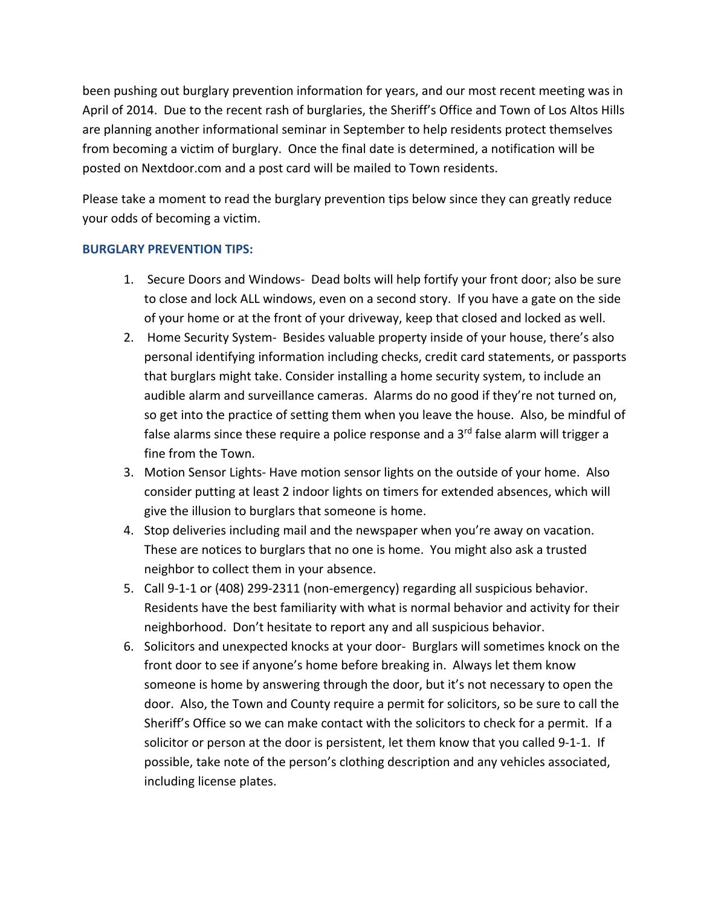been pushing out burglary prevention information for years, and our most recent meeting was in April of 2014. Due to the recent rash of burglaries, the Sheriff's Office and Town of Los Altos Hills are planning another informational seminar in September to help residents protect themselves from becoming a victim of burglary. Once the final date is determined, a notification will be posted on Nextdoor.com and a post card will be mailed to Town residents.

Please take a moment to read the burglary prevention tips below since they can greatly reduce your odds of becoming a victim.

# **BURGLARY PREVENTION TIPS:**

- 1. Secure Doors and Windows‐ Dead bolts will help fortify your front door; also be sure to close and lock ALL windows, even on a second story. If you have a gate on the side of your home or at the front of your driveway, keep that closed and locked as well.
- 2. Home Security System‐ Besides valuable property inside of your house, there's also personal identifying information including checks, credit card statements, or passports that burglars might take. Consider installing a home security system, to include an audible alarm and surveillance cameras. Alarms do no good if they're not turned on, so get into the practice of setting them when you leave the house. Also, be mindful of false alarms since these require a police response and a  $3<sup>rd</sup>$  false alarm will trigger a fine from the Town.
- 3. Motion Sensor Lights‐ Have motion sensor lights on the outside of your home. Also consider putting at least 2 indoor lights on timers for extended absences, which will give the illusion to burglars that someone is home.
- 4. Stop deliveries including mail and the newspaper when you're away on vacation. These are notices to burglars that no one is home. You might also ask a trusted neighbor to collect them in your absence.
- 5. Call 9-1-1 or (408) 299-2311 (non-emergency) regarding all suspicious behavior. Residents have the best familiarity with what is normal behavior and activity for their neighborhood. Don't hesitate to report any and all suspicious behavior.
- 6. Solicitors and unexpected knocks at your door‐ Burglars will sometimes knock on the front door to see if anyone's home before breaking in. Always let them know someone is home by answering through the door, but it's not necessary to open the door. Also, the Town and County require a permit for solicitors, so be sure to call the Sheriff's Office so we can make contact with the solicitors to check for a permit. If a solicitor or person at the door is persistent, let them know that you called 9-1-1. If possible, take note of the person's clothing description and any vehicles associated, including license plates.